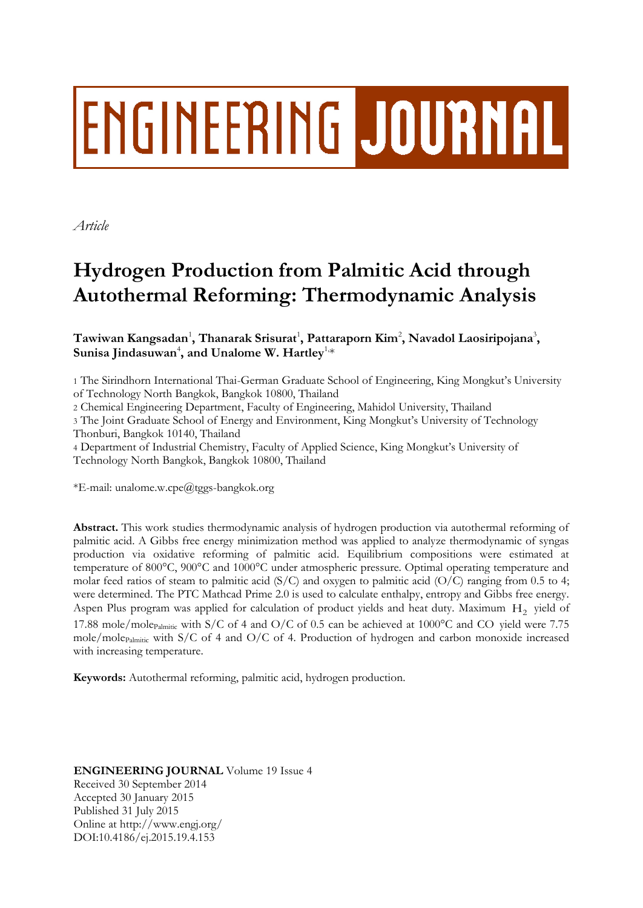# **ENGINEERING JOURNAL**

*Article*

## **Hydrogen Production from Palmitic Acid through Autothermal Reforming: Thermodynamic Analysis**

 $\mathbf{T}$ awiwan Kangsadan<sup>1</sup>, Thanarak Srisurat<sup>1</sup>, Pattaraporn Kim<sup>2</sup>, Navadol Laosiripojana<sup>3</sup>, Sunisa Jindasuwan<sup>4</sup>, and Unalome W. Hartley<sup>1,</sup>\*

1 The Sirindhorn International Thai-German Graduate School of Engineering, King Mongkut's University of Technology North Bangkok, Bangkok 10800, Thailand

2 Chemical Engineering Department, Faculty of Engineering, Mahidol University, Thailand

3 The Joint Graduate School of Energy and Environment, King Mongkut's University of Technology Thonburi, Bangkok 10140, Thailand

4 Department of Industrial Chemistry, Faculty of Applied Science, King Mongkut's University of Technology North Bangkok, Bangkok 10800, Thailand

\*E-mail: unalome.w.cpe@tggs-bangkok.org

**Abstract.** This work studies thermodynamic analysis of hydrogen production via autothermal reforming of palmitic acid. A Gibbs free energy minimization method was applied to analyze thermodynamic of syngas production via oxidative reforming of palmitic acid. Equilibrium compositions were estimated at temperature of 800°C, 900°C and 1000°C under atmospheric pressure. Optimal operating temperature and molar feed ratios of steam to palmitic acid ( $S/C$ ) and oxygen to palmitic acid ( $O/C$ ) ranging from 0.5 to 4; were determined. The PTC Mathcad Prime 2.0 is used to calculate enthalpy, entropy and Gibbs free energy. Aspen Plus program was applied for calculation of product yields and heat duty. Maximum  $H_2$  yield of 17.88 mole/mole<sub>Palmitic</sub> with S/C of 4 and O/C of 0.5 can be achieved at 1000°C and CO yield were 7.75 mole/mole<sub>Palmitic</sub> with S/C of 4 and O/C of 4. Production of hydrogen and carbon monoxide increased with increasing temperature.

**Keywords:** Autothermal reforming, palmitic acid, hydrogen production.

### **ENGINEERING JOURNAL** Volume 19 Issue 4

Received 30 September 2014 Accepted 30 January 2015 Published 31 July 2015 Online at http://www.engj.org/ DOI:10.4186/ej.2015.19.4.153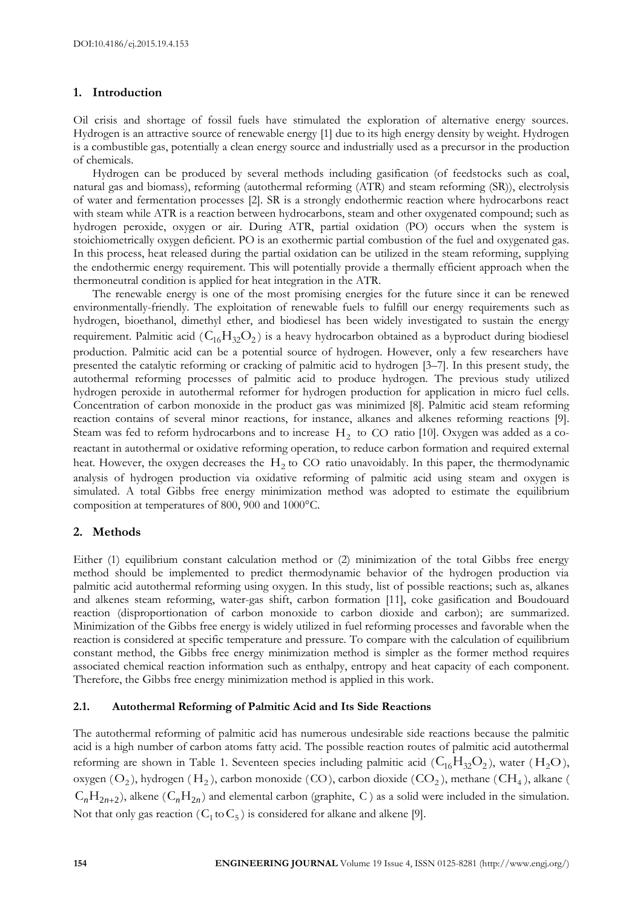#### **1. Introduction**

Oil crisis and shortage of fossil fuels have stimulated the exploration of alternative energy sources. Hydrogen is an attractive source of renewable energy [1] due to its high energy density by weight. Hydrogen is a combustible gas, potentially a clean energy source and industrially used as a precursor in the production of chemicals.

Hydrogen can be produced by several methods including gasification (of feedstocks such as coal, natural gas and biomass), reforming (autothermal reforming (ATR) and steam reforming (SR)), electrolysis of water and fermentation processes [2]. SR is a strongly endothermic reaction where hydrocarbons react with steam while ATR is a reaction between hydrocarbons, steam and other oxygenated compound; such as hydrogen peroxide, oxygen or air. During ATR, partial oxidation (PO) occurs when the system is stoichiometrically oxygen deficient. PO is an exothermic partial combustion of the fuel and oxygenated gas. In this process, heat released during the partial oxidation can be utilized in the steam reforming, supplying the endothermic energy requirement. This will potentially provide a thermally efficient approach when the thermoneutral condition is applied for heat integration in the ATR.

The renewable energy is one of the most promising energies for the future since it can be renewed environmentally-friendly. The exploitation of renewable fuels to fulfill our energy requirements such as hydrogen, bioethanol, dimethyl ether, and biodiesel has been widely investigated to sustain the energy requirement. Palmitic acid ( $C_{16}H_{32}O_2$ ) is a heavy hydrocarbon obtained as a byproduct during biodiesel production. Palmitic acid can be a potential source of hydrogen. However, only a few researchers have presented the catalytic reforming or cracking of palmitic acid to hydrogen [3–7]. In this present study, the autothermal reforming processes of palmitic acid to produce hydrogen. The previous study utilized hydrogen peroxide in autothermal reformer for hydrogen production for application in micro fuel cells. Concentration of carbon monoxide in the product gas was minimized [8]. Palmitic acid steam reforming reaction contains of several minor reactions, for instance, alkanes and alkenes reforming reactions [9]. Steam was fed to reform hydrocarbons and to increase  $H_2$  to CO ratio [10]. Oxygen was added as a coreactant in autothermal or oxidative reforming operation, to reduce carbon formation and required external heat. However, the oxygen decreases the  $H_2$  to CO ratio unavoidably. In this paper, the thermodynamic analysis of hydrogen production via oxidative reforming of palmitic acid using steam and oxygen is simulated. A total Gibbs free energy minimization method was adopted to estimate the equilibrium composition at temperatures of 800, 900 and 1000°C.

#### **2. Methods**

Either (1) equilibrium constant calculation method or (2) minimization of the total Gibbs free energy method should be implemented to predict thermodynamic behavior of the hydrogen production via palmitic acid autothermal reforming using oxygen. In this study, list of possible reactions; such as, alkanes and alkenes steam reforming, water-gas shift, carbon formation [11], coke gasification and Boudouard reaction (disproportionation of carbon monoxide to carbon dioxide and carbon); are summarized. Minimization of the Gibbs free energy is widely utilized in fuel reforming processes and favorable when the reaction is considered at specific temperature and pressure. To compare with the calculation of equilibrium constant method, the Gibbs free energy minimization method is simpler as the former method requires associated chemical reaction information such as enthalpy, entropy and heat capacity of each component. Therefore, the Gibbs free energy minimization method is applied in this work.

#### **2.1. Autothermal Reforming of Palmitic Acid and Its Side Reactions**

The autothermal reforming of palmitic acid has numerous undesirable side reactions because the palmitic acid is a high number of carbon atoms fatty acid. The possible reaction routes of palmitic acid autothermal reforming are shown in Table 1. Seventeen species including palmitic acid ( $C_{16}H_{32}O_2$ ), water (H<sub>2</sub>O), oxygen  $(O_2)$ , hydrogen  $(H_2)$ , carbon monoxide  $(CO)$ , carbon dioxide  $(CO_2)$ , methane  $(CH_4)$ , alkane (  $C_nH_{2n+2}$ ), alkene ( $C_nH_{2n}$ ) and elemental carbon (graphite, C) as a solid were included in the simulation. Not that only gas reaction ( $C_1$  to  $C_5$ ) is considered for alkane and alkene [9].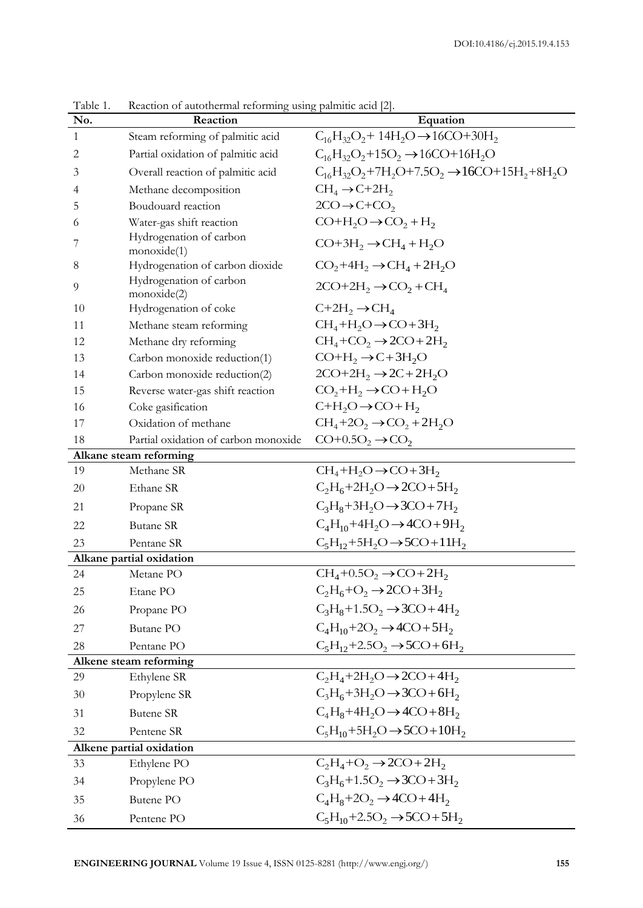| No. | Reaction                               | Equation                                                            |  |  |
|-----|----------------------------------------|---------------------------------------------------------------------|--|--|
| 1   | Steam reforming of palmitic acid       | $C_{16}H_{32}O_2 + 14H_2O \rightarrow 16CO + 30H_2$                 |  |  |
| 2   | Partial oxidation of palmitic acid     | $C_{16}H_{32}O_2+15O_2 \rightarrow 16CO+16H_2O$                     |  |  |
| 3   | Overall reaction of palmitic acid      | $C_{16}H_{32}O_2 + 7H_2O + 7.5O_2 \rightarrow 16CO + 15H_2 + 8H_2O$ |  |  |
| 4   | Methane decomposition                  | $CH_4 \rightarrow C+2H_2$                                           |  |  |
| 5   | Boudouard reaction                     | $2CO \rightarrow C + CO$                                            |  |  |
| 6   | Water-gas shift reaction               | $CO+H2O \rightarrow CO2 + H2$                                       |  |  |
| 7   | Hydrogenation of carbon<br>monoxide(1) | $CO+3H_2 \rightarrow CH_4 + H_2O$                                   |  |  |
| 8   | Hydrogenation of carbon dioxide        | $CO2+4H2 \rightarrow CH4+2H2O$                                      |  |  |
| 9   | Hydrogenation of carbon<br>monoxide(2) | $2CO+2H_2 \rightarrow CO_2 + CH_4$                                  |  |  |
| 10  | Hydrogenation of coke                  | $C+2H_2 \rightarrow CH_4$                                           |  |  |
| 11  | Methane steam reforming                | $CH_4+H_2O \rightarrow CO+3H_2$                                     |  |  |
| 12  | Methane dry reforming                  | $CH_4$ +CO <sub>2</sub> $\rightarrow$ 2CO + 2H <sub>2</sub>         |  |  |
| 13  | Carbon monoxide reduction(1)           | $CO+H_2 \rightarrow C+3H_2O$                                        |  |  |
| 14  | Carbon monoxide reduction(2)           | $2CO+2H_2 \rightarrow 2C+2H_2O$                                     |  |  |
| 15  | Reverse water-gas shift reaction       | $CO, +H_2 \rightarrow CO + H_2O$                                    |  |  |
| 16  | Coke gasification                      | $C+H_2O \rightarrow CO + H_2$                                       |  |  |
| 17  | Oxidation of methane                   | $CH_4+2O_2 \rightarrow CO_2+2H_2O$                                  |  |  |
| 18  | Partial oxidation of carbon monoxide   | $CO+0.5O_2 \rightarrow CO_2$                                        |  |  |
|     | Alkane steam reforming                 |                                                                     |  |  |
| 19  | Methane SR                             | $CH_4+H_2O \rightarrow CO+3H_2$                                     |  |  |
| 20  | Ethane SR                              | $C_2H_6+2H_2O \rightarrow 2CO+5H_2$                                 |  |  |
| 21  | Propane SR                             | $C_3H_8+3H_2O \rightarrow 3CO+7H_2$                                 |  |  |
| 22  | <b>Butane SR</b>                       | $C_4H_{10}+4H_2O \rightarrow 4CO+9H_2$                              |  |  |
| 23  | Pentane SR                             | $C_5H_{12}+5H_2O \rightarrow 5CO+11H_2$                             |  |  |
|     | Alkane partial oxidation               |                                                                     |  |  |
| 24  | Metane PO                              | $CH4+0.5O2 \rightarrow CO+2H2$                                      |  |  |
| 25  | Etane PO                               | $C_2H_6+O_2 \rightarrow 2CO+3H_2$                                   |  |  |
| 26  | Propane PO                             | $C_3H_8+1.5O_2 \rightarrow 3CO+4H_2$                                |  |  |
| 27  | Butane PO                              | $C_4H_{10}+2O_2 \rightarrow 4CO+5H_2$                               |  |  |
| 28  | Pentane PO                             | $C_5H_{12}+2.5O_2 \rightarrow 5CO+6H_2$                             |  |  |
|     | Alkene steam reforming                 |                                                                     |  |  |
| 29  | Ethylene SR                            | $C_2H_4 + 2H_2O \rightarrow 2CO + 4H_2$                             |  |  |
| 30  | Propylene SR                           | $C_3H_6+3H_2O \rightarrow 3CO+6H_2$                                 |  |  |
| 31  | <b>Butene SR</b>                       | $C_4H_8+4H_2O \rightarrow 4CO+8H_2$                                 |  |  |
| 32  | Pentene SR                             | $C_5H_{10}+5H_2O \rightarrow 5CO+10H_2$                             |  |  |
|     | Alkene partial oxidation               |                                                                     |  |  |
| 33  | Ethylene PO                            | $C_2H_4+O_2 \rightarrow 2CO+2H_2$                                   |  |  |
| 34  | Propylene PO                           | $C_3H_6+1.5O_2 \rightarrow 3CO+3H_2$                                |  |  |
| 35  | Butene PO                              | $C_4H_8+2O_2 \rightarrow 4CO+4H_2$                                  |  |  |
| 36  | Pentene PO                             | $C_5H_{10}+2.5O_2 \rightarrow 5CO+5H_2$                             |  |  |

Table 1. Reaction of autothermal reforming using palmitic acid [2].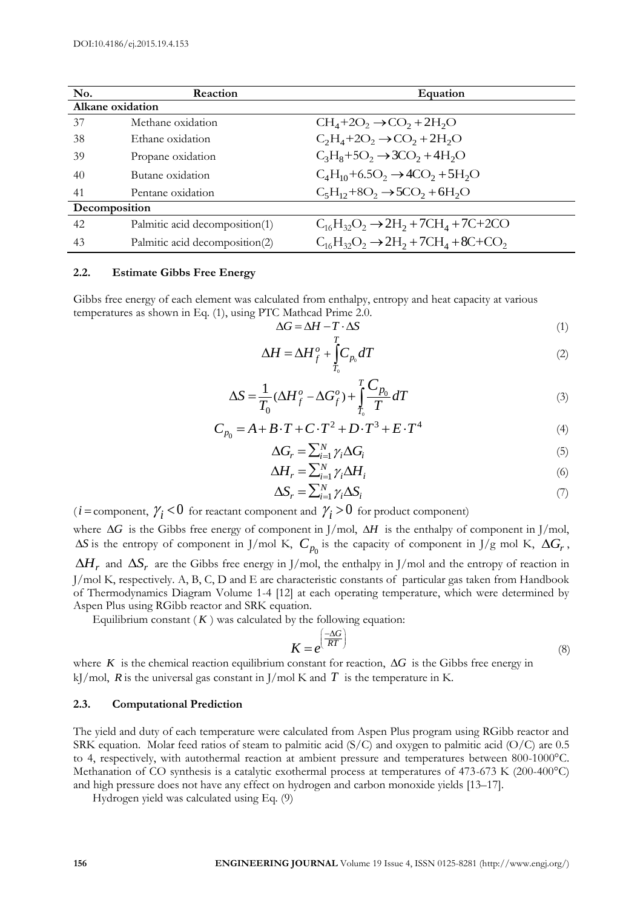| No.              | Reaction                       | Equation                                               |  |  |  |  |
|------------------|--------------------------------|--------------------------------------------------------|--|--|--|--|
| Alkane oxidation |                                |                                                        |  |  |  |  |
| 37               | Methane oxidation              | $CH4+2O2 \rightarrow CO2+2H2O$                         |  |  |  |  |
| 38               | Ethane oxidation               | $C_2H_4+2O_2 \rightarrow CO_2+2H_2O$                   |  |  |  |  |
| 39               | Propane oxidation              | $C_3H_8+5O_2 \rightarrow 3CO_2+4H_2O$                  |  |  |  |  |
| 40               | Butane oxidation               | $C_4H_{10}+6.5O_2 \rightarrow 4CO_2+5H_2O$             |  |  |  |  |
| 41               | Pentane oxidation              | $C_5H_{12}+8O_2 \rightarrow 5CO_2+6H_2O$               |  |  |  |  |
| Decomposition    |                                |                                                        |  |  |  |  |
| 42               | Palmitic acid decomposition(1) | $C_{16}H_{32}O_2 \rightarrow 2H_2 + 7CH_4 + 7C + 2CO$  |  |  |  |  |
| 43               | Palmitic acid decomposition(2) | $C_{16}H_{32}O_2 \rightarrow 2H_2 + 7CH_4 + 8C + CO_2$ |  |  |  |  |

#### **2.2. Estimate Gibbs Free Energy**

Gibbs free energy of each element was calculated from enthalpy, entropy and heat capacity at various temperatures as shown in Eq. (1), using PTC Mathcad Prime 2.0.

$$
\Delta G = \Delta H - T \cdot \Delta S \tag{1}
$$

$$
\Delta H = \Delta H_f^o + \int_{T_0}^T C_{p_0} dT \tag{2}
$$

$$
\Delta S = \frac{1}{T_0} (\Delta H_f^o - \Delta G_f^o) + \int_{T_0}^{T} \frac{C_{p_0}}{T} dT
$$
\n(3)

$$
T_0 \xrightarrow{T_0} T_1 \xrightarrow{T_0} T
$$
  
\n
$$
C_{p_0} = A + B \cdot T + C \cdot T^2 + D \cdot T^3 + E \cdot T^4
$$
 (4)

$$
\Delta G_r = \sum_{i=1}^{N} \gamma_i \Delta G_i \tag{5}
$$

$$
\Delta H_r = \sum_{i=1}^{N} \gamma_i \Delta H_i \tag{6}
$$

$$
\Delta S_r = \sum_{i=1}^N \gamma_i \Delta S_i \tag{7}
$$

 $(i = \text{component}, \gamma_i < 0 \text{ for reactant component and } \gamma_i > 0 \text{ for product component})$ where  $\Delta G$  is the Gibbs free energy of component in J/mol,  $\Delta H$  is the enthalpy of component in J/mol,  $\Delta S$  is the entropy of component in J/mol K,  $C_{p_0}$  is the capacity of component in J/g mol K,  $\Delta G_r$ ,

 $\Delta H_r$  and  $\Delta S_r$  are the Gibbs free energy in J/mol, the enthalpy in J/mol and the entropy of reaction in J/mol K, respectively. A, B, C, D and E are characteristic constants of particular gas taken from Handbook of Thermodynamics Diagram Volume 1-4 [12] at each operating temperature, which were determined by Aspen Plus using RGibb reactor and SRK equation.

Equilibrium constant  $(K)$  was calculated by the following equation:

$$
K = e^{\left(\frac{-\Delta G}{RT}\right)}\tag{8}
$$

where  $K$  is the chemical reaction equilibrium constant for reaction,  $\Delta G$  is the Gibbs free energy in kJ/mol,  $R$  is the universal gas constant in J/mol K and  $T$  is the temperature in K.

#### **2.3. Computational Prediction**

The yield and duty of each temperature were calculated from Aspen Plus program using RGibb reactor and SRK equation. Molar feed ratios of steam to palmitic acid (S/C) and oxygen to palmitic acid (O/C) are 0.5 to 4, respectively, with autothermal reaction at ambient pressure and temperatures between 800-1000°C. Methanation of CO synthesis is a catalytic exothermal process at temperatures of 473-673 K (200-400°C) and high pressure does not have any effect on hydrogen and carbon monoxide yields [13–17].

Hydrogen yield was calculated using Eq. (9)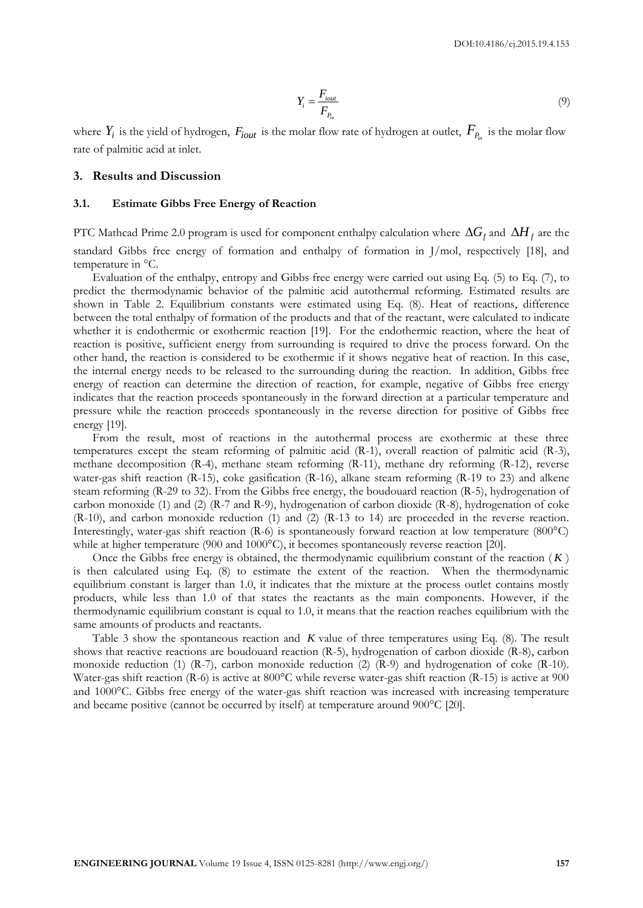$$
Y_i = \frac{F_{i\text{out}}}{F_{p_{in}}} \tag{9}
$$

where  $Y_i$  is the yield of hydrogen,  $F_{iout}$  is the molar flow rate of hydrogen at outlet,  $F_{P_{in}}$  is the molar flow rate of palmitic acid at inlet.

#### **3. Results and Discussion**

#### **3.1. Estimate Gibbs Free Energy of Reaction**

PTC Mathcad Prime 2.0 program is used for component enthalpy calculation where  $\Delta G_f$  and  $\Delta H_f$  are the standard Gibbs free energy of formation and enthalpy of formation in J/mol, respectively [18], and temperature in °C.

Evaluation of the enthalpy, entropy and Gibbs free energy were carried out using Eq. (5) to Eq. (7), to predict the thermodynamic behavior of the palmitic acid autothermal reforming. Estimated results are shown in Table 2. Equilibrium constants were estimated using Eq. (8). Heat of reactions, difference between the total enthalpy of formation of the products and that of the reactant, were calculated to indicate whether it is endothermic or exothermic reaction [19]. For the endothermic reaction, where the heat of reaction is positive, sufficient energy from surrounding is required to drive the process forward. On the other hand, the reaction is considered to be exothermic if it shows negative heat of reaction. In this case, the internal energy needs to be released to the surrounding during the reaction. In addition, Gibbs free energy of reaction can determine the direction of reaction, for example, negative of Gibbs free energy indicates that the reaction proceeds spontaneously in the forward direction at a particular temperature and pressure while the reaction proceeds spontaneously in the reverse direction for positive of Gibbs free energy [19].

From the result, most of reactions in the autothermal process are exothermic at these three temperatures except the steam reforming of palmitic acid (R-1), overall reaction of palmitic acid (R-3), methane decomposition (R-4), methane steam reforming (R-11), methane dry reforming (R-12), reverse water-gas shift reaction (R-15), coke gasification (R-16), alkane steam reforming (R-19 to 23) and alkene steam reforming (R-29 to 32). From the Gibbs free energy, the boudouard reaction (R-5), hydrogenation of carbon monoxide (1) and (2) (R-7 and R-9), hydrogenation of carbon dioxide (R-8), hydrogenation of coke (R-10), and carbon monoxide reduction (1) and (2) (R-13 to 14) are proceeded in the reverse reaction. Interestingly, water-gas shift reaction (R-6) is spontaneously forward reaction at low temperature (800°C) while at higher temperature (900 and 1000°C), it becomes spontaneously reverse reaction [20].

Once the Gibbs free energy is obtained, the thermodynamic equilibrium constant of the reaction ( *K* ) is then calculated using Eq. (8) to estimate the extent of the reaction. When the thermodynamic equilibrium constant is larger than 1.0, it indicates that the mixture at the process outlet contains mostly products, while less than 1.0 of that states the reactants as the main components. However, if the thermodynamic equilibrium constant is equal to 1.0, it means that the reaction reaches equilibrium with the same amounts of products and reactants.

Table 3 show the spontaneous reaction and *K* value of three temperatures using Eq. (8). The result shows that reactive reactions are boudouard reaction (R-5), hydrogenation of carbon dioxide (R-8), carbon monoxide reduction (1) (R-7), carbon monoxide reduction (2) (R-9) and hydrogenation of coke (R-10). Water-gas shift reaction (R-6) is active at 800°C while reverse water-gas shift reaction (R-15) is active at 900 and 1000°C. Gibbs free energy of the water-gas shift reaction was increased with increasing temperature and became positive (cannot be occurred by itself) at temperature around 900°C [20].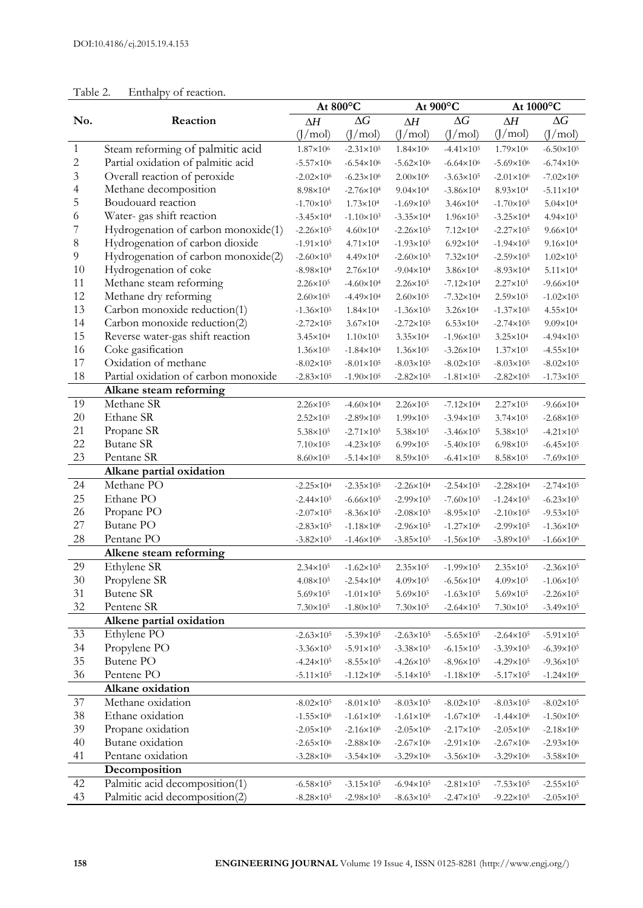|          |                                       | At 800°C              |                       | At 900°C              |                       | At $1000^{\circ} \text{C}$ |                                            |
|----------|---------------------------------------|-----------------------|-----------------------|-----------------------|-----------------------|----------------------------|--------------------------------------------|
| No.      | Reaction                              | ΔΗ                    | $\Delta G$            | ΔΗ                    | $\Delta G$            | $\Delta H$                 | $\Delta G$                                 |
|          |                                       | (1/mol)               | (J/mol)               | (I/mol)               | (J/mol)               | (J/mol)                    | (J/mol)                                    |
| 1        | Steam reforming of palmitic acid      | 1.87×10 <sup>6</sup>  | $-2.31 \times 10^5$   | $1.84 \times 10^{6}$  | $-4.41 \times 10^5$   | 1.79×10 <sup>6</sup>       | $-6.50 \times 10^5$                        |
| 2        | Partial oxidation of palmitic acid    | $-5.57 \times 10^6$   | $-6.54 \times 10^{6}$ | $-5.62 \times 10^{6}$ | $-6.64 \times 10^{6}$ | $-5.69\times10^{6}$        | $-6.74 \times 10^6$                        |
| 3        | Overall reaction of peroxide          | $-2.02\times10^{6}$   | $-6.23 \times 10^6$   | $2.00 \times 10^6$    | $-3.63 \times 10^5$   | $-2.01 \times 10^6$        | $-7.02 \times 10^6$                        |
| 4        | Methane decomposition                 | 8.98×10 <sup>4</sup>  | $-2.76 \times 10^4$   | $9.04 \times 10^{4}$  | $-3.86 \times 10^4$   | 8.93×10 <sup>4</sup>       | $-5.11 \times 10^{4}$                      |
| 5        | Boudouard reaction                    | $-1.70 \times 10^5$   | $1.73 \times 10^{4}$  | $-1.69 \times 10^{5}$ | $3.46 \times 10^{4}$  | $-1.70 \times 10^5$        | $5.04 \times 10^{4}$                       |
| 6        | Water-gas shift reaction              | $-3.45 \times 10^4$   | $-1.10 \times 10^3$   | $-3.35 \times 10^{4}$ | $1.96 \times 10^{3}$  | $-3.25 \times 10^4$        | $4.94 \times 10^{3}$                       |
| 7        | Hydrogenation of carbon monoxide(1)   | $-2.26 \times 10^5$   | $4.60 \times 10^{4}$  | $-2.26 \times 10^5$   | $7.12 \times 10^{4}$  | $-2.27 \times 10^5$        | $9.66 \times 10^{4}$                       |
| 8        | Hydrogenation of carbon dioxide       | $-1.91 \times 10^{5}$ | 4.71×10 <sup>4</sup>  | $-1.93 \times 10^{5}$ | $6.92 \times 10^{4}$  | $-1.94 \times 10^{5}$      | $9.16 \times 10^{4}$                       |
| 9        | Hydrogenation of carbon monoxide(2)   | $-2.60 \times 10^5$   | 4.49×10 <sup>4</sup>  | $-2.60 \times 10^5$   | 7.32×10 <sup>4</sup>  | $-2.59\times10^{5}$        | $1.02 \times 10^5$                         |
| 10       | Hydrogenation of coke                 | $-8.98 \times 10^4$   | $2.76 \times 10^{4}$  | $-9.04 \times 10^4$   | $3.86 \times 10^{4}$  | $-8.93 \times 10^{4}$      | $5.11 \times 10^{4}$                       |
| 11       | Methane steam reforming               | $2.26 \times 10^5$    | $-4.60 \times 10^4$   | $2.26 \times 10^5$    | $-7.12 \times 10^4$   | $2.27 \times 10^5$         | $-9.66 \times 10^4$                        |
| 12       | Methane dry reforming                 | $2.60 \times 10^{5}$  | $-4.49 \times 10^{4}$ | $2.60 \times 10^5$    | $-7.32 \times 10^{4}$ | $2.59 \times 10^5$         | $-1.02 \times 10^5$                        |
| 13       | Carbon monoxide reduction(1)          | $-1.36 \times 10^5$   | $1.84 \times 10^{4}$  | $-1.36 \times 10^{5}$ | $3.26 \times 10^{4}$  | $-1.37 \times 10^{5}$      | 4.55×10 <sup>4</sup>                       |
| 14       | Carbon monoxide reduction(2)          | $-2.72 \times 10^5$   | $3.67 \times 10^{4}$  | $-2.72 \times 10^5$   | $6.53 \times 10^{4}$  | $-2.74 \times 10^5$        | $9.09 \times 10^{4}$                       |
| 15       | Reverse water-gas shift reaction      | $3.45 \times 10^{4}$  | $1.10 \times 10^3$    | $3.35 \times 10^{4}$  | $-1.96 \times 10^3$   | $3.25 \times 10^{4}$       | $-4.94 \times 10^3$                        |
| 16       | Coke gasification                     | $1.36 \times 10^5$    | $-1.84 \times 10^4$   | $1.36 \times 10^{5}$  | $-3.26 \times 10^4$   | $1.37 \times 10^5$         | $-4.55 \times 10^4$                        |
| 17       | Oxidation of methane                  | $-8.02 \times 10^5$   | $-8.01 \times 10^5$   | $-8.03 \times 10^5$   | $-8.02 \times 10^5$   | $-8.03 \times 10^5$        | $-8.02\times10^{5}$                        |
| 18       | Partial oxidation of carbon monoxide  | $-2.83 \times 10^5$   | $-1.90 \times 10^5$   | $-2.82 \times 10^5$   | $-1.81 \times 10^5$   | $-2.82 \times 10^5$        | $-1.73 \times 10^5$                        |
|          | Alkane steam reforming                |                       |                       |                       |                       |                            |                                            |
| 19       | Methane SR                            | $2.26 \times 10^{5}$  | $-4.60 \times 10^4$   | $2.26 \times 10^{5}$  | $-7.12 \times 10^4$   | $2.27 \times 10^{5}$       | $-9.66 \times 10^4$                        |
| 20       | Ethane SR                             | $2.52 \times 10^5$    | $-2.89 \times 10^5$   | $1.99 \times 10^{5}$  | $-3.94 \times 10^5$   | $3.74 \times 10^{5}$       | $-2.68 \times 10^5$                        |
| 21       | Propane SR                            | $5.38 \times 10^5$    | $-2.71 \times 10^5$   | $5.38 \times 10^5$    | $-3.46 \times 10^5$   | $5.38 \times 10^5$         | $-4.21 \times 10^5$                        |
| 22       | <b>Butane SR</b>                      | $7.10\times10^{5}$    | $-4.23 \times 10^5$   | $6.99 \times 10^{5}$  | $-5.40 \times 10^5$   | $6.98 \times 10^{5}$       | $-6.45 \times 10^5$                        |
| 23       | Pentane SR                            | 8.60×10 <sup>5</sup>  | $-5.14 \times 10^5$   | $8.59 \times 10^5$    | $-6.41 \times 10^5$   | 8.58×105                   | $-7.69 \times 10^{5}$                      |
|          | Alkane partial oxidation              |                       |                       |                       |                       |                            |                                            |
| 24       | Methane PO                            | $-2.25 \times 10^4$   | $-2.35 \times 10^5$   | $-2.26 \times 10^{4}$ | $-2.54 \times 10^5$   | $-2.28 \times 10^4$        | $-2.74 \times 10^5$                        |
| 25       | Ethane PO                             | $-2.44 \times 10^5$   | $-6.66 \times 10^5$   | $-2.99 \times 10^{5}$ | $-7.60 \times 10^5$   | $-1.24 \times 10^5$        | $-6.23 \times 10^5$                        |
| 26       | Propane PO                            | $-2.07 \times 10^5$   | $-8.36 \times 10^5$   | $-2.08 \times 10^5$   | $-8.95 \times 10^5$   | $-2.10 \times 10^5$        | $-9.53 \times 10^5$                        |
| 27       | <b>Butane PO</b>                      | $-2.83 \times 10^5$   | $-1.18 \times 10^6$   | $-2.96 \times 10^{5}$ | $-1.27\times10^{6}$   | $-2.99 \times 10^{5}$      | $-1.36 \times 10^{6}$                      |
| 28       | Pentane PO                            | $-3.82 \times 10^5$   | $-1.46 \times 10^6$   | $-3.85 \times 10^5$   | $-1.56 \times 10^6$   | $-3.89 \times 10^{5}$      | $-1.66 \times 10^6$                        |
|          | Alkene steam reforming                |                       |                       |                       |                       |                            |                                            |
| 29       | Ethylene SR                           | $2.34 \times 10^{5}$  | $-1.62 \times 10^5$   | $2.35 \times 10^{5}$  | $-1.99 \times 10^{5}$ | $2.35 \times 10^{5}$       | $-2.36 \times 10^5$                        |
| $30\,$   | Propylene SR                          | $4.08 \times 10^{5}$  | $-2.54 \times 10^4$   | $4.09 \times 10^{5}$  | $-6.56 \times 10^4$   | $4.09 \times 10^{5}$       | $-1.06 \times 10^5$                        |
| 31       | Butene SR                             | 5.69×10 <sup>5</sup>  | $-1.01 \times 10^5$   | 5.69×10 <sup>5</sup>  | $-1.63 \times 10^5$   | 5.69×10 <sup>5</sup>       | $-2.26 \times 10^5$                        |
| 32       | Pentene SR                            | $7.30 \times 10^{5}$  | $-1.80 \times 10^5$   | $7.30 \times 10^5$    | $-2.64 \times 10^5$   | $7.30 \times 10^{5}$       | $-3.49 \times 10^{5}$                      |
|          | Alkene partial oxidation              |                       |                       |                       |                       |                            |                                            |
| 33       | Ethylene PO                           | $-2.63 \times 10^5$   | $-5.39 \times 10^{5}$ | $-2.63 \times 10^{5}$ | $-5.65 \times 10^5$   | $-2.64 \times 10^5$        | $-5.91 \times 10^5$                        |
| 34       | Propylene PO                          | $-3.36 \times 10^5$   | $-5.91 \times 10^{5}$ | $-3.38 \times 10^{5}$ | $-6.15 \times 10^5$   | $-3.39 \times 10^5$        |                                            |
| 35       | Butene PO                             | $-4.24 \times 10^5$   | $-8.55 \times 10^5$   | $-4.26 \times 10^5$   | $-8.96 \times 10^5$   | $-4.29 \times 10^5$        | $-6.39 \times 10^5$<br>$-9.36 \times 10^5$ |
| 36       | Pentene PO                            | $-5.11 \times 10^5$   | $-1.12 \times 10^6$   | $-5.14 \times 10^5$   | $-1.18\times10^6$     | $-5.17 \times 10^5$        | $-1.24 \times 10^6$                        |
|          | Alkane oxidation                      |                       |                       |                       |                       |                            |                                            |
|          | Methane oxidation                     |                       |                       |                       |                       |                            |                                            |
| 37       | Ethane oxidation                      | $-8.02 \times 10^5$   | $-8.01 \times 10^5$   | $-8.03 \times 10^5$   | $-8.02 \times 10^5$   | $-8.03 \times 10^5$        | $-8.02 \times 10^5$                        |
| 38<br>39 |                                       | $-1.55 \times 10^6$   | $-1.61 \times 10^{6}$ | $-1.61 \times 10^{6}$ | $-1.67 \times 10^{6}$ | $-1.44 \times 10^{6}$      | $-1.50 \times 10^6$                        |
| 40       | Propane oxidation                     | $-2.05 \times 10^6$   | $-2.16 \times 10^6$   | $-2.05 \times 10^6$   | $-2.17 \times 10^6$   | $-2.05 \times 10^6$        | $-2.18\times10^{6}$                        |
| 41       | Butane oxidation<br>Pentane oxidation | $-2.65 \times 10^6$   | $-2.88 \times 10^6$   | $-2.67 \times 10^{6}$ | $-2.91 \times 10^6$   | $-2.67\times10^{6}$        | $-2.93 \times 10^6$                        |
|          |                                       | $-3.28 \times 10^6$   | $-3.54 \times 10^6$   | $-3.29 \times 10^6$   | $-3.56 \times 10^{6}$ | $-3.29 \times 10^6$        | $-3.58 \times 10^6$                        |
|          | Decomposition                         |                       |                       |                       |                       |                            |                                            |
| 42       | Palmitic acid decomposition(1)        | $-6.58 \times 10^5$   | $-3.15 \times 10^5$   | $-6.94 \times 10^{5}$ | $-2.81 \times 10^5$   | $-7.53 \times 10^5$        | $-2.55 \times 10^5$                        |
| 43       | Palmitic acid decomposition(2)        | $-8.28 \times 10^5$   | $-2.98 \times 10^5$   | $-8.63 \times 10^{5}$ | $-2.47 \times 10^5$   | $-9.22 \times 10^5$        | $-2.05 \times 10^5$                        |

## Table 2. Enthalpy of reaction.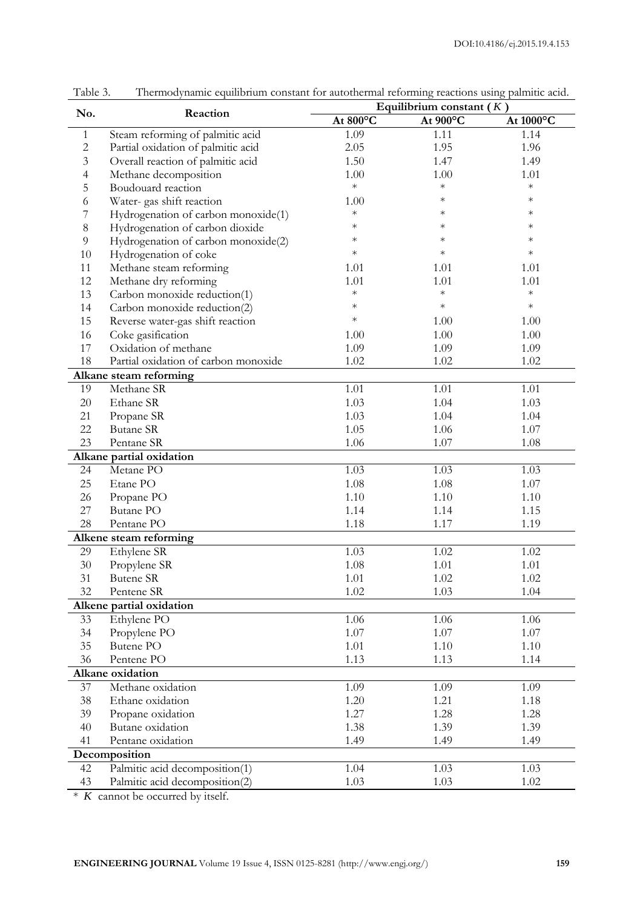| No.            |                                      | Equilibrium constant $(K)$ |          |           |  |  |
|----------------|--------------------------------------|----------------------------|----------|-----------|--|--|
|                | Reaction                             | At 800°C                   | At 900°C | At 1000°C |  |  |
| $\mathbf{1}$   | Steam reforming of palmitic acid     | 1.09                       | 1.11     | 1.14      |  |  |
| $\overline{c}$ | Partial oxidation of palmitic acid   | 2.05                       | 1.95     | 1.96      |  |  |
| 3              | Overall reaction of palmitic acid    | 1.50                       | 1.47     | 1.49      |  |  |
| 4              | Methane decomposition                | 1.00                       | 1.00     | 1.01      |  |  |
| 5              | Boudouard reaction                   | $\ast$                     | $\ast$   | $\ast$    |  |  |
| 6              | Water-gas shift reaction             | 1.00                       | $\ast$   | $\ast$    |  |  |
| 7              | Hydrogenation of carbon monoxide(1)  | $\ast$                     | $\ast$   | $\ast$    |  |  |
| 8              | Hydrogenation of carbon dioxide      | $\ast$                     | $\ast$   | $\ast$    |  |  |
| 9              | Hydrogenation of carbon monoxide(2)  | $\ast$                     | $\ast$   | $\ast$    |  |  |
| 10             | Hydrogenation of coke                | $\ast$                     | $\ast$   | $\ast$    |  |  |
| 11             | Methane steam reforming              | 1.01                       | 1.01     | 1.01      |  |  |
| 12             | Methane dry reforming                | 1.01                       | 1.01     | 1.01      |  |  |
| 13             | Carbon monoxide reduction(1)         | $\ast$                     | $\ast$   | $\ast$    |  |  |
| 14             | Carbon monoxide reduction(2)         | $\ast$                     | $\ast$   | $\ast$    |  |  |
| 15             | Reverse water-gas shift reaction     | $\ast$                     | 1.00     | 1.00      |  |  |
| 16             | Coke gasification                    | 1.00                       | 1.00     | 1.00      |  |  |
| 17             | Oxidation of methane                 | 1.09                       | 1.09     | 1.09      |  |  |
| 18             | Partial oxidation of carbon monoxide | 1.02                       | 1.02     | 1.02      |  |  |
|                | Alkane steam reforming               |                            |          |           |  |  |
| 19             | Methane SR                           | 1.01                       | 1.01     | 1.01      |  |  |
| $20\,$         | Ethane SR                            | 1.03                       | 1.04     | 1.03      |  |  |
| 21             | Propane SR                           | 1.03                       | 1.04     | 1.04      |  |  |
| 22             | <b>Butane SR</b>                     | 1.05                       | 1.06     | 1.07      |  |  |
| 23             | Pentane SR                           | 1.06                       | 1.07     | 1.08      |  |  |
|                | Alkane partial oxidation             |                            |          |           |  |  |
| 24             | Metane PO                            | 1.03                       | 1.03     | 1.03      |  |  |
| 25             | Etane PO                             | 1.08                       | 1.08     | 1.07      |  |  |
| 26             | Propane PO                           | 1.10                       | 1.10     | 1.10      |  |  |
| 27             | <b>Butane PO</b>                     | 1.14                       | 1.14     | 1.15      |  |  |
| 28             | Pentane PO                           | 1.18                       | 1.17     | 1.19      |  |  |
|                | Alkene steam reforming               |                            |          |           |  |  |
| 29             | Ethylene SR                          | 1.03                       | 1.02     | 1.02      |  |  |
| $30\,$         | Propylene SR                         | 1.08                       | 1.01     | 1.01      |  |  |
| 31             | <b>Butene SR</b>                     | 1.01                       | 1.02     | 1.02      |  |  |
| 32             | Pentene SR                           | 1.02                       | 1.03     | 1.04      |  |  |
|                | Alkene partial oxidation             |                            |          |           |  |  |
| 33             | Ethylene PO                          | 1.06                       | 1.06     | 1.06      |  |  |
| 34             | Propylene PO                         | 1.07                       | 1.07     | 1.07      |  |  |
| 35             | Butene PO                            | 1.01                       | 1.10     | 1.10      |  |  |
| 36             | Pentene PO                           | 1.13                       | 1.13     | 1.14      |  |  |
|                | Alkane oxidation                     |                            |          |           |  |  |
| 37             | Methane oxidation                    | 1.09                       | 1.09     | 1.09      |  |  |
| 38             | Ethane oxidation                     | 1.20                       | 1.21     | 1.18      |  |  |
| 39             | Propane oxidation                    | 1.27                       | 1.28     | 1.28      |  |  |
| 40             | Butane oxidation                     | 1.38                       | 1.39     | 1.39      |  |  |
| 41             | Pentane oxidation                    | 1.49                       | 1.49     | 1.49      |  |  |
|                | Decomposition                        |                            |          |           |  |  |
| 42             | Palmitic acid decomposition(1)       | 1.04                       | 1.03     | 1.03      |  |  |
| 43             | Palmitic acid decomposition(2)       | 1.03                       | 1.03     | 1.02      |  |  |
|                |                                      |                            |          |           |  |  |

Table 3. Thermodynamic equilibrium constant for autothermal reforming reactions using palmitic acid.

\* *K* cannot be occurred by itself.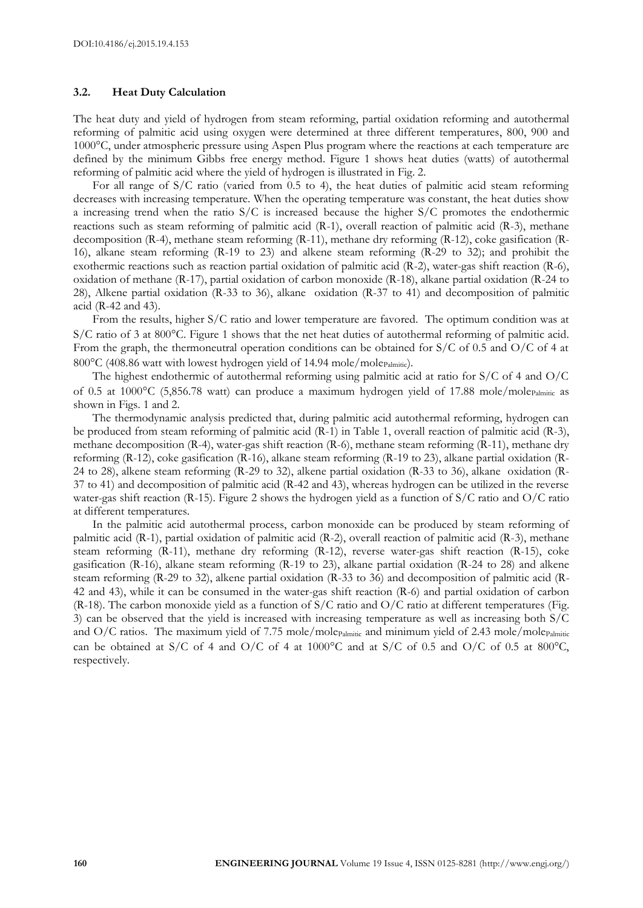#### **3.2. Heat Duty Calculation**

The heat duty and yield of hydrogen from steam reforming, partial oxidation reforming and autothermal reforming of palmitic acid using oxygen were determined at three different temperatures, 800, 900 and 1000°C, under atmospheric pressure using Aspen Plus program where the reactions at each temperature are defined by the minimum Gibbs free energy method. Figure 1 shows heat duties (watts) of autothermal reforming of palmitic acid where the yield of hydrogen is illustrated in Fig. 2.

For all range of S/C ratio (varied from 0.5 to 4), the heat duties of palmitic acid steam reforming decreases with increasing temperature. When the operating temperature was constant, the heat duties show a increasing trend when the ratio  $S/C$  is increased because the higher  $S/C$  promotes the endothermic reactions such as steam reforming of palmitic acid (R-1), overall reaction of palmitic acid (R-3), methane decomposition (R-4), methane steam reforming (R-11), methane dry reforming (R-12), coke gasification (R-16), alkane steam reforming (R-19 to 23) and alkene steam reforming (R-29 to 32); and prohibit the exothermic reactions such as reaction partial oxidation of palmitic acid (R-2), water-gas shift reaction (R-6), oxidation of methane (R-17), partial oxidation of carbon monoxide (R-18), alkane partial oxidation (R-24 to 28), Alkene partial oxidation (R-33 to 36), alkane oxidation (R-37 to 41) and decomposition of palmitic acid (R-42 and 43).

From the results, higher S/C ratio and lower temperature are favored. The optimum condition was at  $S/C$  ratio of 3 at 800 $^{\circ}$ C. Figure 1 shows that the net heat duties of autothermal reforming of palmitic acid. From the graph, the thermoneutral operation conditions can be obtained for S/C of 0.5 and O/C of 4 at 800°C (408.86 watt with lowest hydrogen yield of 14.94 mole/molepalmitic).

The highest endothermic of autothermal reforming using palmitic acid at ratio for S/C of 4 and O/C of 0.5 at 1000 $^{\circ}$ C (5,856.78 watt) can produce a maximum hydrogen yield of 17.88 mole/molepalmitic as shown in Figs. 1 and 2.

The thermodynamic analysis predicted that, during palmitic acid autothermal reforming, hydrogen can be produced from steam reforming of palmitic acid (R-1) in Table 1, overall reaction of palmitic acid (R-3), methane decomposition (R-4), water-gas shift reaction (R-6), methane steam reforming (R-11), methane dry reforming (R-12), coke gasification (R-16), alkane steam reforming (R-19 to 23), alkane partial oxidation (R-24 to 28), alkene steam reforming (R-29 to 32), alkene partial oxidation (R-33 to 36), alkane oxidation (R-37 to 41) and decomposition of palmitic acid (R-42 and 43), whereas hydrogen can be utilized in the reverse water-gas shift reaction (R-15). Figure 2 shows the hydrogen yield as a function of S/C ratio and O/C ratio at different temperatures.

In the palmitic acid autothermal process, carbon monoxide can be produced by steam reforming of palmitic acid (R-1), partial oxidation of palmitic acid (R-2), overall reaction of palmitic acid (R-3), methane steam reforming (R-11), methane dry reforming (R-12), reverse water-gas shift reaction (R-15), coke gasification (R-16), alkane steam reforming (R-19 to 23), alkane partial oxidation (R-24 to 28) and alkene steam reforming (R-29 to 32), alkene partial oxidation (R-33 to 36) and decomposition of palmitic acid (R-42 and 43), while it can be consumed in the water-gas shift reaction (R-6) and partial oxidation of carbon  $(R-18)$ . The carbon monoxide yield as a function of S/C ratio and O/C ratio at different temperatures (Fig. 3) can be observed that the yield is increased with increasing temperature as well as increasing both S/C and  $O/C$  ratios. The maximum yield of 7.75 mole/molepalmitic and minimum yield of 2.43 mole/molepalmitic can be obtained at S/C of 4 and O/C of 4 at 1000 $^{\circ}$ C and at S/C of 0.5 and O/C of 0.5 at 800 $^{\circ}$ C, respectively.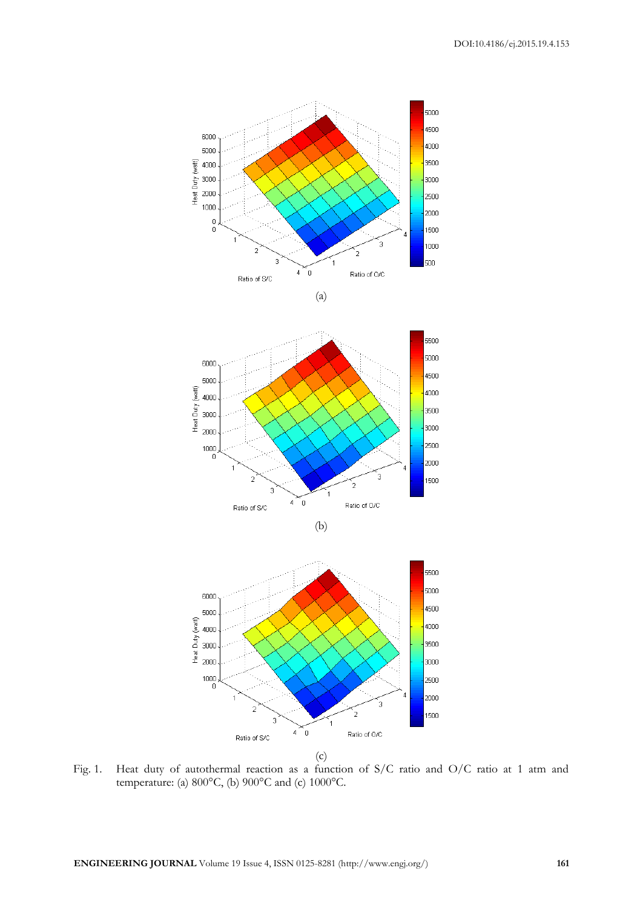









Fig. 1. Heat duty of autothermal reaction as a function of S/C ratio and O/C ratio at 1 atm and temperature: (a) 800°C, (b) 900°C and (c) 1000°C.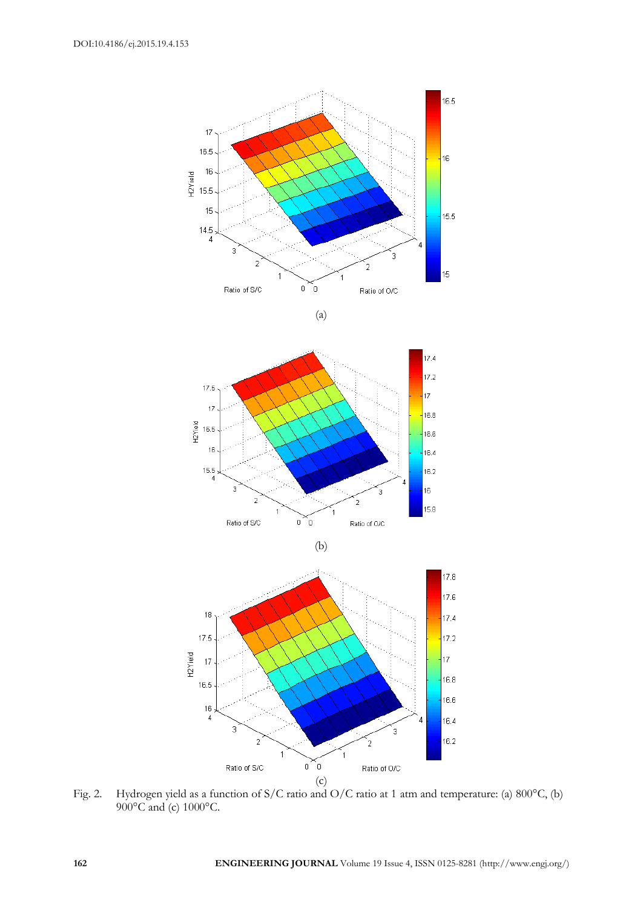

$$
(a)
$$







Fig. 2. Hydrogen yield as a function of S/C ratio and O/C ratio at 1 atm and temperature: (a) 800°C, (b) 900°C and (c) 1000°C.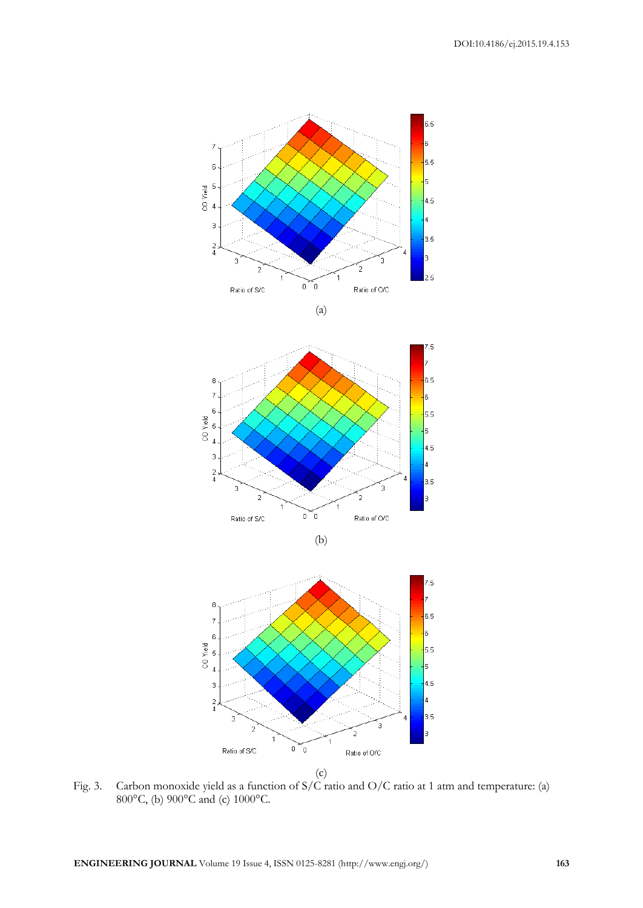



Fig. 3. Carbon monoxide yield as a function of S/C ratio and O/C ratio at 1 atm and temperature: (a) 800°C, (b) 900°C and (c) 1000°C.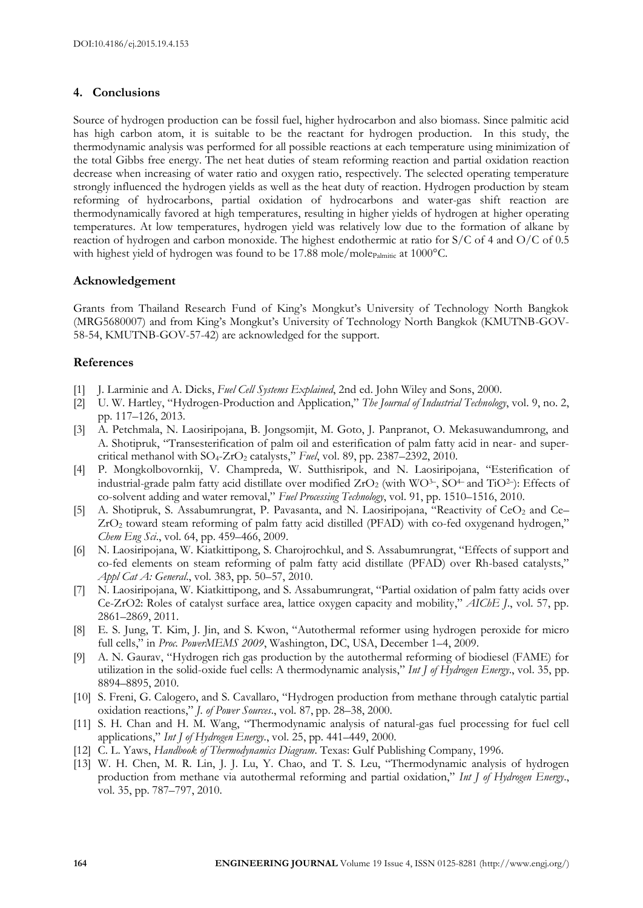#### **4. Conclusions**

Source of hydrogen production can be fossil fuel, higher hydrocarbon and also biomass. Since palmitic acid has high carbon atom, it is suitable to be the reactant for hydrogen production. In this study, the thermodynamic analysis was performed for all possible reactions at each temperature using minimization of the total Gibbs free energy. The net heat duties of steam reforming reaction and partial oxidation reaction decrease when increasing of water ratio and oxygen ratio, respectively. The selected operating temperature strongly influenced the hydrogen yields as well as the heat duty of reaction. Hydrogen production by steam reforming of hydrocarbons, partial oxidation of hydrocarbons and water-gas shift reaction are thermodynamically favored at high temperatures, resulting in higher yields of hydrogen at higher operating temperatures. At low temperatures, hydrogen yield was relatively low due to the formation of alkane by reaction of hydrogen and carbon monoxide. The highest endothermic at ratio for S/C of 4 and O/C of 0.5 with highest yield of hydrogen was found to be  $17.88$  mole/mole $_{\text{Palmitic}}$  at  $1000^{\circ}\text{C}$ .

#### **Acknowledgement**

Grants from Thailand Research Fund of King's Mongkut's University of Technology North Bangkok (MRG5680007) and from King's Mongkut's University of Technology North Bangkok (KMUTNB-GOV-58-54, KMUTNB-GOV-57-42) are acknowledged for the support.

#### **References**

- [1] J. Larminie and A. Dicks, *Fuel Cell Systems Explained*, 2nd ed. John Wiley and Sons, 2000.
- [2] U. W. Hartley, "Hydrogen-Production and Application," *The Journal of Industrial Technology*, vol. 9, no. 2, pp. 117–126, 2013.
- [3] A. Petchmala, N. Laosiripojana, B. Jongsomjit, M. Goto, J. Panpranot, O. Mekasuwandumrong, and A. Shotipruk, "Transesterification of palm oil and esterification of palm fatty acid in near- and supercritical methanol with  $SO_4$ - $ZrO_2$  catalysts," *Fuel*, vol. 89, pp. 2387–2392, 2010.
- [4] P. Mongkolbovornkij, V. Champreda, W. Sutthisripok, and N. Laosiripojana, "Esterification of industrial-grade palm fatty acid distillate over modified  $ZrO<sub>2</sub>$  (with WO<sup>3–</sup>, SO<sup>4–</sup> and TiO<sup>2</sup>–): Effects of co-solvent adding and water removal," *Fuel Processing Technology*, vol. 91, pp. 1510–1516, 2010.
- [5] A. Shotipruk, S. Assabumrungrat, P. Pavasanta, and N. Laosiripojana, "Reactivity of CeO<sup>2</sup> and Ce– ZrO<sup>2</sup> toward steam reforming of palm fatty acid distilled (PFAD) with co-fed oxygenand hydrogen," *Chem Eng Sci*., vol. 64, pp. 459–466, 2009.
- [6] N. Laosiripojana, W. Kiatkittipong, S. Charojrochkul, and S. Assabumrungrat, "Effects of support and co-fed elements on steam reforming of palm fatty acid distillate (PFAD) over Rh-based catalysts," *Appl Cat A: General*., vol. 383, pp. 50–57, 2010.
- [7] N. Laosiripojana, W. Kiatkittipong, and S. Assabumrungrat, "Partial oxidation of palm fatty acids over Ce-ZrO2: Roles of catalyst surface area, lattice oxygen capacity and mobility," *AIChE J*., vol. 57, pp. 2861–2869, 2011.
- [8] E. S. Jung, T. Kim, J. Jin, and S. Kwon, "Autothermal reformer using hydrogen peroxide for micro full cells," in *Proc. PowerMEMS 2009*, Washington, DC, USA, December 1–4, 2009.
- [9] A. N. Gaurav, "Hydrogen rich gas production by the autothermal reforming of biodiesel (FAME) for utilization in the solid-oxide fuel cells: A thermodynamic analysis," *Int J of Hydrogen Energy*., vol. 35, pp. 8894–8895, 2010.
- [10] S. Freni, G. Calogero, and S. Cavallaro, "Hydrogen production from methane through catalytic partial oxidation reactions," *J. of Power Sources*., vol. 87, pp. 28–38, 2000.
- [11] S. H. Chan and H. M. Wang, "Thermodynamic analysis of natural-gas fuel processing for fuel cell applications," *Int J of Hydrogen Energy*., vol. 25, pp. 441–449, 2000.
- [12] C. L. Yaws, *Handbook of Thermodynamics Diagram*. Texas: Gulf Publishing Company, 1996.
- [13] W. H. Chen, M. R. Lin, J. J. Lu, Y. Chao, and T. S. Leu, "Thermodynamic analysis of hydrogen production from methane via autothermal reforming and partial oxidation," *Int J of Hydrogen Energy*., vol. 35, pp. 787–797, 2010.